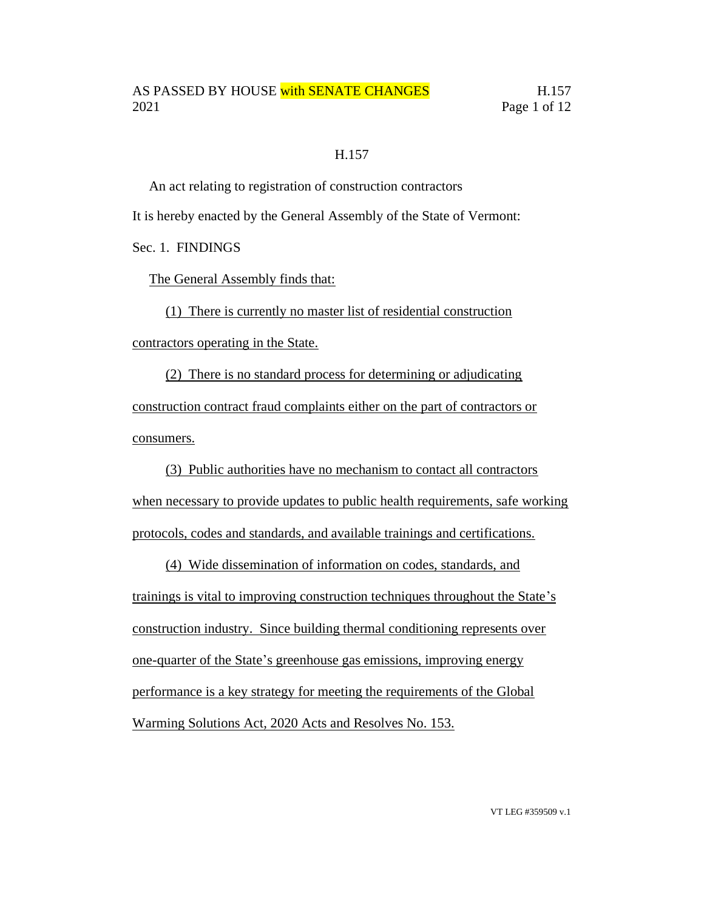#### H.157

An act relating to registration of construction contractors

It is hereby enacted by the General Assembly of the State of Vermont:

Sec. 1. FINDINGS

The General Assembly finds that:

(1) There is currently no master list of residential construction contractors operating in the State.

(2) There is no standard process for determining or adjudicating construction contract fraud complaints either on the part of contractors or consumers.

(3) Public authorities have no mechanism to contact all contractors when necessary to provide updates to public health requirements, safe working protocols, codes and standards, and available trainings and certifications.

(4) Wide dissemination of information on codes, standards, and trainings is vital to improving construction techniques throughout the State's construction industry. Since building thermal conditioning represents over one-quarter of the State's greenhouse gas emissions, improving energy performance is a key strategy for meeting the requirements of the Global Warming Solutions Act, 2020 Acts and Resolves No. 153.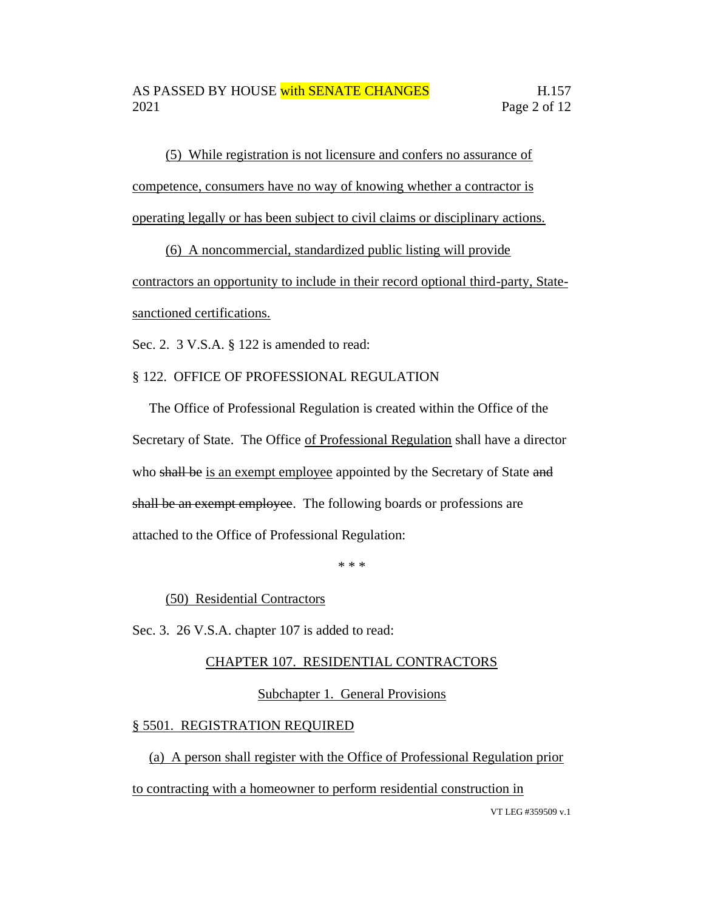(5) While registration is not licensure and confers no assurance of competence, consumers have no way of knowing whether a contractor is operating legally or has been subject to civil claims or disciplinary actions.

(6) A noncommercial, standardized public listing will provide

contractors an opportunity to include in their record optional third-party, Statesanctioned certifications.

Sec. 2. 3 V.S.A. § 122 is amended to read:

### § 122. OFFICE OF PROFESSIONAL REGULATION

The Office of Professional Regulation is created within the Office of the Secretary of State. The Office of Professional Regulation shall have a director who shall be is an exempt employee appointed by the Secretary of State and shall be an exempt employee. The following boards or professions are attached to the Office of Professional Regulation:

\* \* \*

(50) Residential Contractors

Sec. 3. 26 V.S.A. chapter 107 is added to read:

### CHAPTER 107. RESIDENTIAL CONTRACTORS

### Subchapter 1. General Provisions

### § 5501. REGISTRATION REQUIRED

(a) A person shall register with the Office of Professional Regulation prior to contracting with a homeowner to perform residential construction in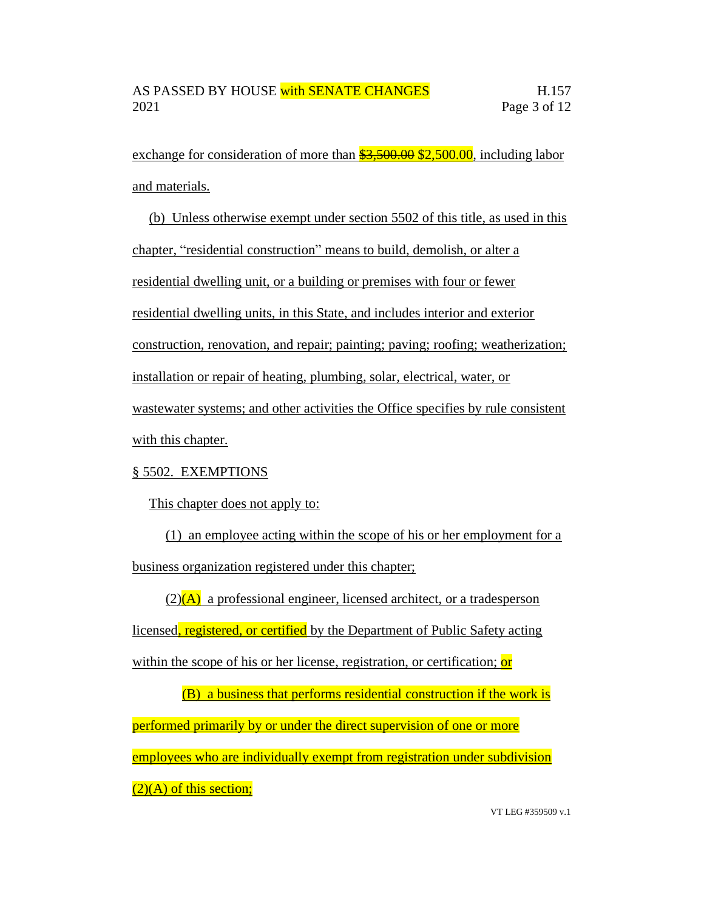exchange for consideration of more than  $\frac{$3,500.00}{$2,500.00}$ , including labor and materials.

(b) Unless otherwise exempt under section 5502 of this title, as used in this chapter, "residential construction" means to build, demolish, or alter a residential dwelling unit, or a building or premises with four or fewer residential dwelling units, in this State, and includes interior and exterior construction, renovation, and repair; painting; paving; roofing; weatherization; installation or repair of heating, plumbing, solar, electrical, water, or wastewater systems; and other activities the Office specifies by rule consistent with this chapter.

### § 5502. EXEMPTIONS

This chapter does not apply to:

(1) an employee acting within the scope of his or her employment for a business organization registered under this chapter;

 $(2)(A)$  a professional engineer, licensed architect, or a tradesperson

licensed, registered, or certified by the Department of Public Safety acting

within the scope of his or her license, registration, or certification; or

(B) a business that performs residential construction if the work is performed primarily by or under the direct supervision of one or more employees who are individually exempt from registration under subdivision  $(2)(A)$  of this section;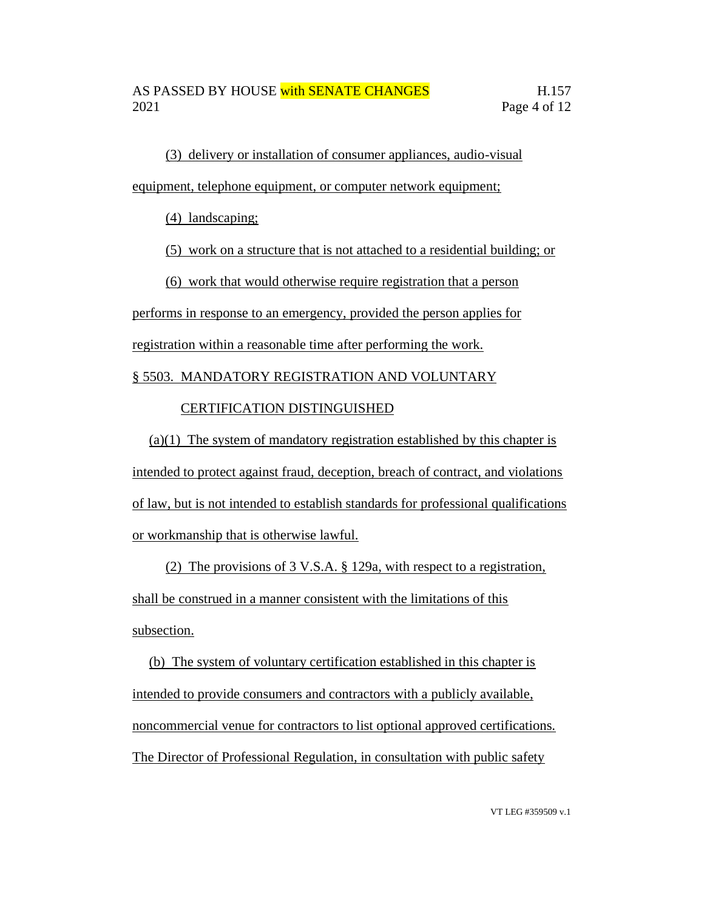(3) delivery or installation of consumer appliances, audio-visual equipment, telephone equipment, or computer network equipment;

(4) landscaping;

(5) work on a structure that is not attached to a residential building; or

(6) work that would otherwise require registration that a person

performs in response to an emergency, provided the person applies for

registration within a reasonable time after performing the work.

## § 5503. MANDATORY REGISTRATION AND VOLUNTARY

## CERTIFICATION DISTINGUISHED

(a)(1) The system of mandatory registration established by this chapter is intended to protect against fraud, deception, breach of contract, and violations of law, but is not intended to establish standards for professional qualifications or workmanship that is otherwise lawful.

(2) The provisions of 3 V.S.A. § 129a, with respect to a registration, shall be construed in a manner consistent with the limitations of this subsection.

(b) The system of voluntary certification established in this chapter is intended to provide consumers and contractors with a publicly available, noncommercial venue for contractors to list optional approved certifications. The Director of Professional Regulation, in consultation with public safety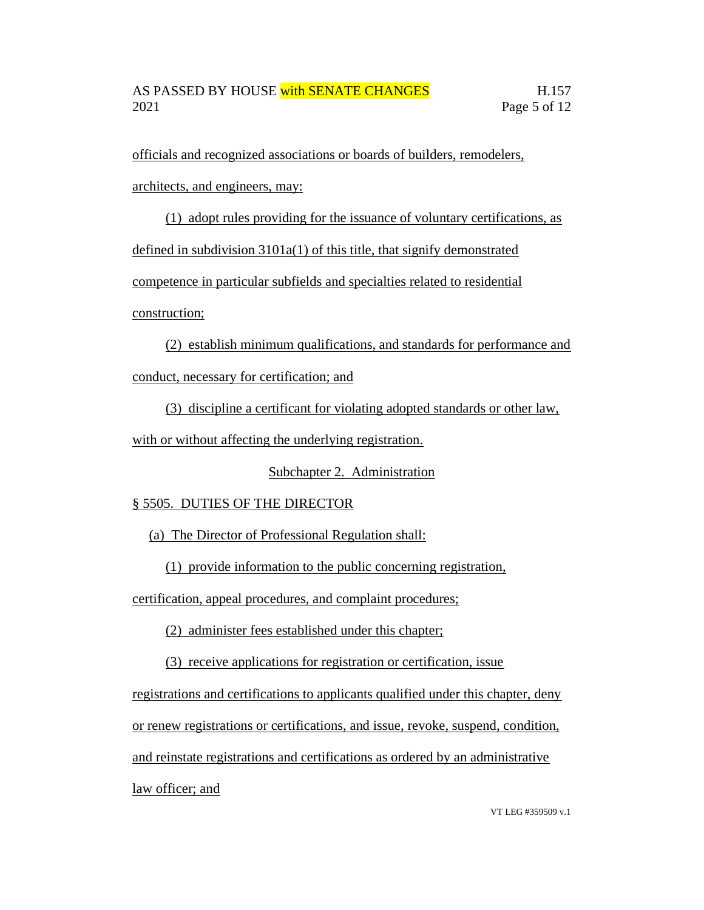officials and recognized associations or boards of builders, remodelers,

architects, and engineers, may:

(1) adopt rules providing for the issuance of voluntary certifications, as

defined in subdivision 3101a(1) of this title, that signify demonstrated

competence in particular subfields and specialties related to residential

construction;

(2) establish minimum qualifications, and standards for performance and conduct, necessary for certification; and

(3) discipline a certificant for violating adopted standards or other law,

with or without affecting the underlying registration.

Subchapter 2. Administration

# § 5505. DUTIES OF THE DIRECTOR

(a) The Director of Professional Regulation shall:

(1) provide information to the public concerning registration,

certification, appeal procedures, and complaint procedures;

(2) administer fees established under this chapter;

(3) receive applications for registration or certification, issue

registrations and certifications to applicants qualified under this chapter, deny

or renew registrations or certifications, and issue, revoke, suspend, condition,

and reinstate registrations and certifications as ordered by an administrative

law officer; and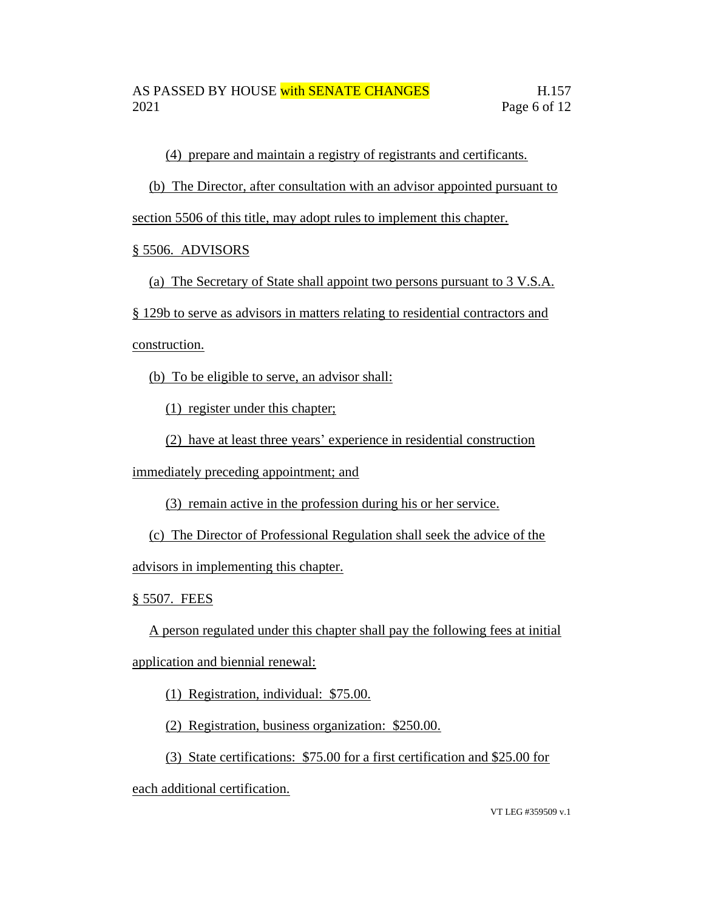(4) prepare and maintain a registry of registrants and certificants.

(b) The Director, after consultation with an advisor appointed pursuant to

section 5506 of this title, may adopt rules to implement this chapter.

## § 5506. ADVISORS

(a) The Secretary of State shall appoint two persons pursuant to 3 V.S.A.

§ 129b to serve as advisors in matters relating to residential contractors and

construction.

(b) To be eligible to serve, an advisor shall:

(1) register under this chapter;

(2) have at least three years' experience in residential construction

immediately preceding appointment; and

(3) remain active in the profession during his or her service.

(c) The Director of Professional Regulation shall seek the advice of the

advisors in implementing this chapter.

§ 5507. FEES

A person regulated under this chapter shall pay the following fees at initial application and biennial renewal:

(1) Registration, individual: \$75.00.

(2) Registration, business organization: \$250.00.

(3) State certifications: \$75.00 for a first certification and \$25.00 for

each additional certification.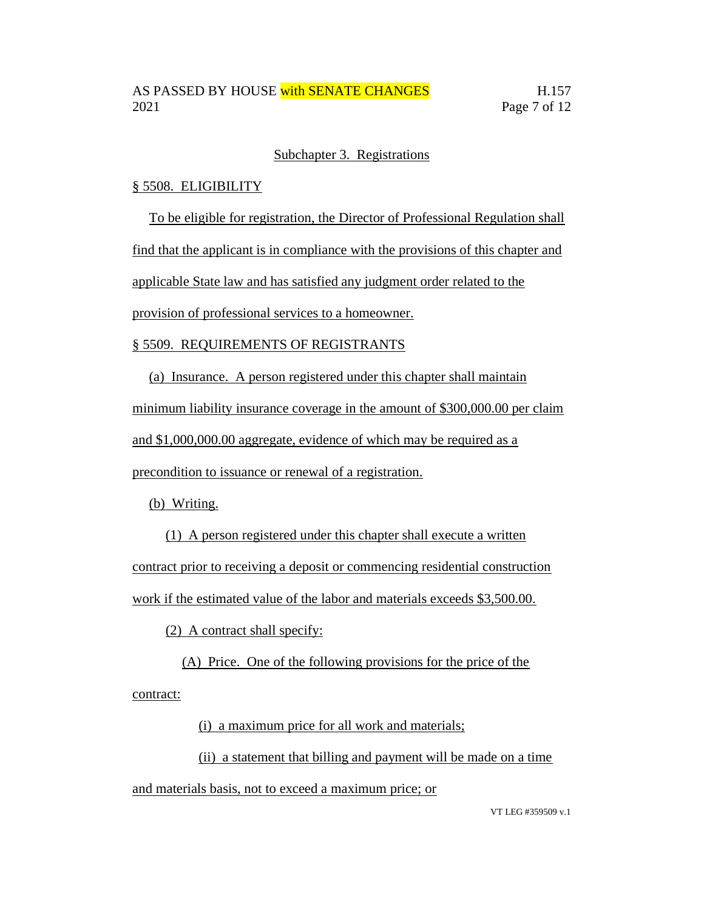### Subchapter 3. Registrations

### § 5508. ELIGIBILITY

To be eligible for registration, the Director of Professional Regulation shall

find that the applicant is in compliance with the provisions of this chapter and

applicable State law and has satisfied any judgment order related to the

provision of professional services to a homeowner.

### § 5509. REQUIREMENTS OF REGISTRANTS

(a) Insurance. A person registered under this chapter shall maintain

minimum liability insurance coverage in the amount of \$300,000.00 per claim

and \$1,000,000.00 aggregate, evidence of which may be required as a

precondition to issuance or renewal of a registration.

(b) Writing.

(1) A person registered under this chapter shall execute a written contract prior to receiving a deposit or commencing residential construction work if the estimated value of the labor and materials exceeds \$3,500.00.

(2) A contract shall specify:

(A) Price. One of the following provisions for the price of the contract:

(i) a maximum price for all work and materials;

(ii) a statement that billing and payment will be made on a time

and materials basis, not to exceed a maximum price; or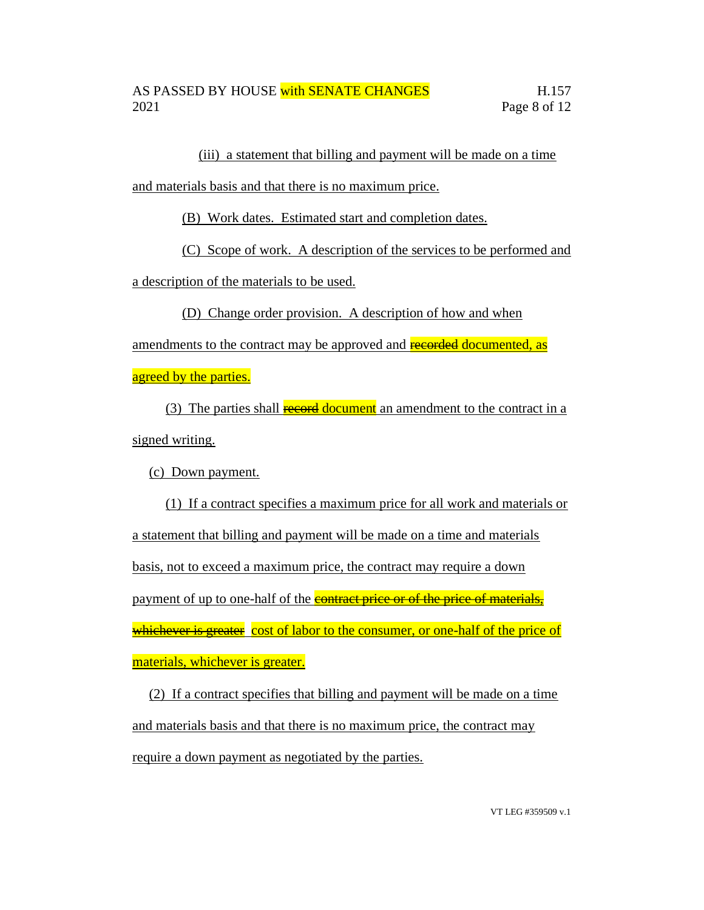(iii) a statement that billing and payment will be made on a time

and materials basis and that there is no maximum price.

(B) Work dates. Estimated start and completion dates.

(C) Scope of work. A description of the services to be performed and

a description of the materials to be used.

(D) Change order provision. A description of how and when

amendments to the contract may be approved and recorded documented, as

agreed by the parties.

(3) The parties shall **record document** an amendment to the contract in a signed writing.

(c) Down payment.

(1) If a contract specifies a maximum price for all work and materials or a statement that billing and payment will be made on a time and materials basis, not to exceed a maximum price, the contract may require a down payment of up to one-half of the **contract price or of the price of materials**, whichever is greater cost of labor to the consumer, or one-half of the price of materials, whichever is greater.

(2) If a contract specifies that billing and payment will be made on a time and materials basis and that there is no maximum price, the contract may require a down payment as negotiated by the parties.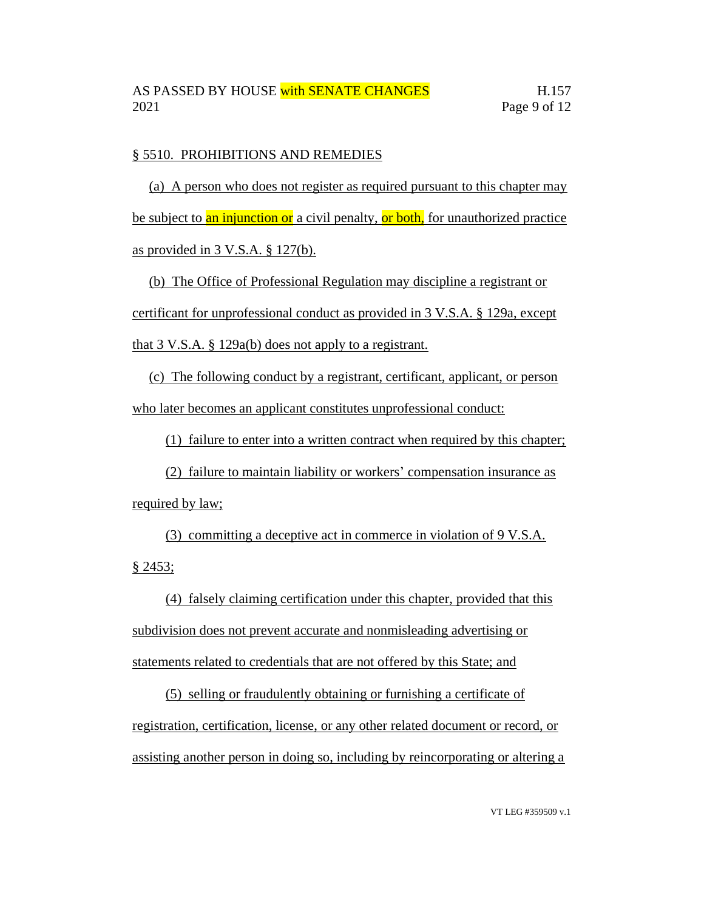### § 5510. PROHIBITIONS AND REMEDIES

(a) A person who does not register as required pursuant to this chapter may be subject to an injunction or a civil penalty, or both, for unauthorized practice as provided in 3 V.S.A. § 127(b).

(b) The Office of Professional Regulation may discipline a registrant or certificant for unprofessional conduct as provided in 3 V.S.A. § 129a, except that 3 V.S.A. § 129a(b) does not apply to a registrant.

(c) The following conduct by a registrant, certificant, applicant, or person who later becomes an applicant constitutes unprofessional conduct:

(1) failure to enter into a written contract when required by this chapter;

(2) failure to maintain liability or workers' compensation insurance as required by law;

(3) committing a deceptive act in commerce in violation of 9 V.S.A. § 2453;

(4) falsely claiming certification under this chapter, provided that this subdivision does not prevent accurate and nonmisleading advertising or statements related to credentials that are not offered by this State; and

(5) selling or fraudulently obtaining or furnishing a certificate of registration, certification, license, or any other related document or record, or assisting another person in doing so, including by reincorporating or altering a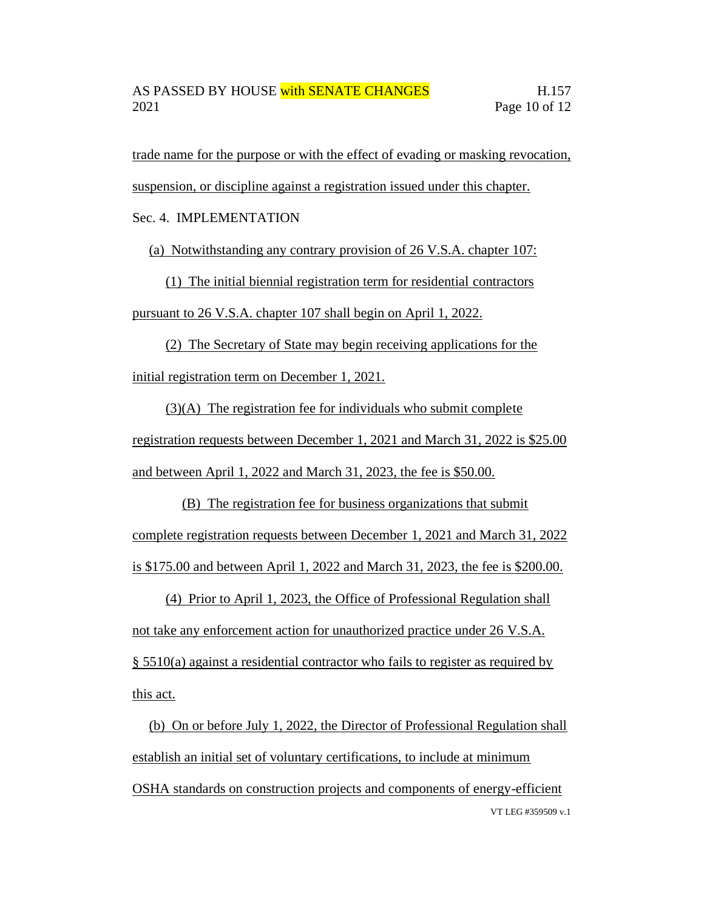trade name for the purpose or with the effect of evading or masking revocation,

suspension, or discipline against a registration issued under this chapter.

Sec. 4. IMPLEMENTATION

(a) Notwithstanding any contrary provision of 26 V.S.A. chapter 107:

(1) The initial biennial registration term for residential contractors pursuant to 26 V.S.A. chapter 107 shall begin on April 1, 2022.

(2) The Secretary of State may begin receiving applications for the initial registration term on December 1, 2021.

(3)(A) The registration fee for individuals who submit complete registration requests between December 1, 2021 and March 31, 2022 is \$25.00 and between April 1, 2022 and March 31, 2023, the fee is \$50.00.

(B) The registration fee for business organizations that submit complete registration requests between December 1, 2021 and March 31, 2022 is \$175.00 and between April 1, 2022 and March 31, 2023, the fee is \$200.00.

(4) Prior to April 1, 2023, the Office of Professional Regulation shall not take any enforcement action for unauthorized practice under 26 V.S.A. § 5510(a) against a residential contractor who fails to register as required by this act.

VT LEG #359509 v.1 (b) On or before July 1, 2022, the Director of Professional Regulation shall establish an initial set of voluntary certifications, to include at minimum OSHA standards on construction projects and components of energy-efficient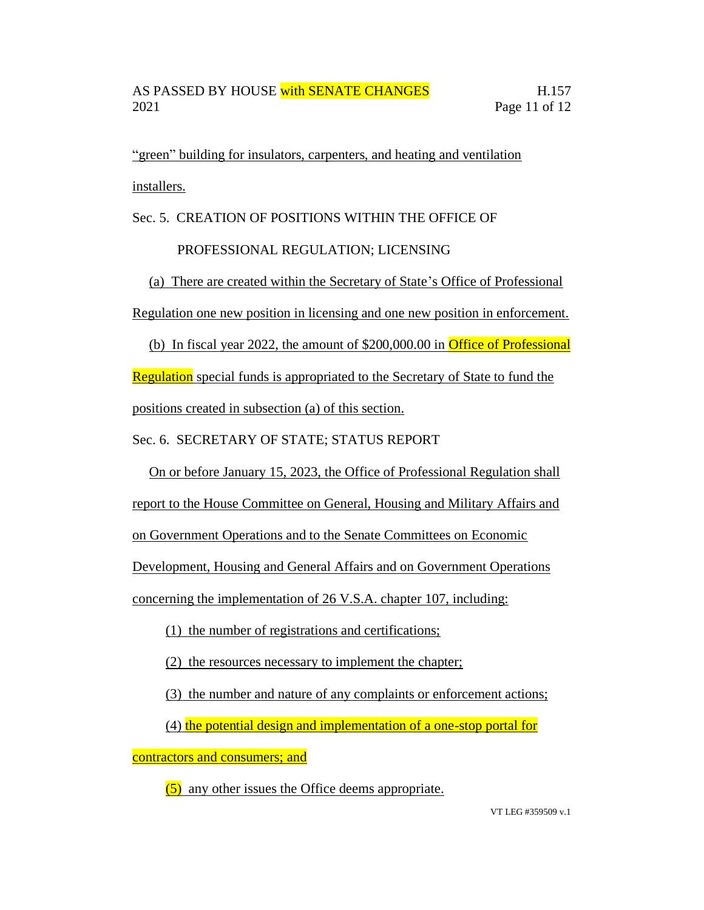"green" building for insulators, carpenters, and heating and ventilation installers.

Sec. 5. CREATION OF POSITIONS WITHIN THE OFFICE OF

## PROFESSIONAL REGULATION; LICENSING

(a) There are created within the Secretary of State's Office of Professional Regulation one new position in licensing and one new position in enforcement.

(b) In fiscal year 2022, the amount of \$200,000.00 in Office of Professional Regulation special funds is appropriated to the Secretary of State to fund the positions created in subsection (a) of this section.

Sec. 6. SECRETARY OF STATE; STATUS REPORT

On or before January 15, 2023, the Office of Professional Regulation shall

report to the House Committee on General, Housing and Military Affairs and

on Government Operations and to the Senate Committees on Economic

Development, Housing and General Affairs and on Government Operations

concerning the implementation of 26 V.S.A. chapter 107, including:

(1) the number of registrations and certifications;

(2) the resources necessary to implement the chapter;

(3) the number and nature of any complaints or enforcement actions;

(4) the potential design and implementation of a one-stop portal for

contractors and consumers; and

(5) any other issues the Office deems appropriate.